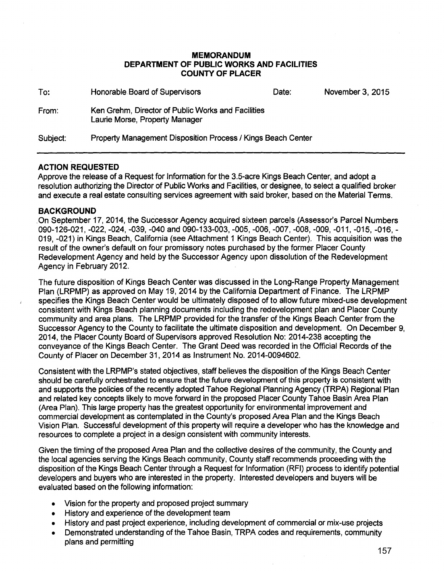#### **MEMORANDUM DEPARTMENT OF PUBLIC WORKS AND FACILITIES COUNTY OF PLACER**

| To:      | Honorable Board of Supervisors                                                       | Date: | November 3, 2015 |
|----------|--------------------------------------------------------------------------------------|-------|------------------|
| From:    | Ken Grehm, Director of Public Works and Facilities<br>Laurie Morse, Property Manager |       |                  |
| Subject: | Property Management Disposition Process / Kings Beach Center                         |       |                  |

# **ACTION REQUESTED**

Approve the release of a Request for Information for the 3.5-acre Kings Beach Center, and adopt a resolution authorizing the Director of Public Works and Facilities, or designee, to select a qualified broker and execute a real estate consulting services agreement with said broker, based on the Material Terms.

# **BACKGROUND**

.On September 17, 2014, the Successor Agency acquired sixteen parcels (Assessor's Parcel Numbers 090-126-021, -022, -024, -039, -040 and 090-133-003, -005, -006, -007, -008, -009, -011, -015, -016, - 019, -021) in Kings Beach, California (see Attachment 1 Kings Beach Center). This acquisition was the result of the owner's default on four promissory notes purchased by the former Placer County Redevelopment Agency and held by the Successor Agency upon dissolution of the Redevelopment Agency in February 2012.

The future disposition of Kings Beach Center was discussed in the Long-Range Property Management Plan (LRPMP) as approved on May 19, 2014 by the California Department of Finance. The LRPMP specifies the Kings Beach Center would be ultimately disposed of to allow future mixed-use development consistent with Kings Beach planning documents including the redevelopment plan and Placer County community and area plans. The LRPMP provided for the transfer of the Kings Beach Center from the Successor Agency to the County to facilitate the ultimate disposition and development. On December 9, 2014, the Placer County Board of Supervisors approved Resolution No: 2014-238 accepting the conveyance of the Kings Beach Center. The Grant Deed was recorded in the Official Records of the County of Placer on December 31, 2014 as Instrument No. 2014-0094602.

Consistent with the LRPMP's stated objectives, staff believes the disposition of the Kings Beach Center should be carefully orchestrated to ensure that the future development of this property is consistent with and supports the policies of the recently adopted Tahoe Regional Planning Agency (TRPA) Regional Plan and related key concepts likely to move forward in the proposed Placer County Tahoe Basin Area Plan (Area Plan). This large property has the greatest opportunity for environmental improvement and commercial development as contemplated in the County's proposed Area Plan and the Kings Beach Vision Plan. Successful development of this property will require a developer who has the knowledge and resources to complete a project in a design consistent with community interests.

Given the timing of the proposed Area Plan and the collective desires of the community, the County and the local agencies serving the Kings Beach community, County staff recommends proceeding with the disposition of the Kings Beach Center through a Request for Information (RFI) process to identify potential developers and buyers who are interested in the property. Interested developers and buyers will be evaluated based on the following information:

- Vision for the property and proposed project summary
- History and experience of the development team
- History and past project experience, including development of commercial or mix-use projects
- Demonstrated understanding of the Tahoe Basin, TRPA codes and requirements, community plans and permitting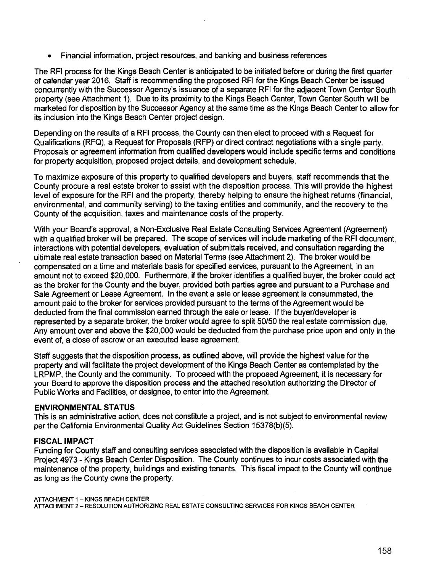• Financial information, project resources, and banking and business references

The RFI process for the Kings Beach Center is anticipated to be initiated before or during the first quarter of calendar year 2016. Staff is recommending the proposed RFI for the Kings Beach Center be issued concurrently with the Successor Agency's issuance of a separate RFI for the adjacent Town Center South property (see Attachment 1). Due to its proximity to the Kings Beach Center, Town Center South will be marketed for disposition by the Successor Agency at the same time as the Kings Beach Center to allow for its inclusion into the Kings Beach Center project design.

Depending on the results of a RFI process, the County can then elect to proceed with a Request for Qualifications (RFQ), a Request for Proposals (RFP) or direct contract negotiations with a single party. Proposals or agreement information from qualified developers would include specific terms and conditions for property acquisition, proposed project details, and development schedule.

To maximize exposure of this property to qualified developers and buyers, staff recommends that the County procure a real estate broker to assist with the disposition process. This will provide the highest level of exposure for the RFI and the property, thereby helping to ensure the highest returns (financial, environmental, and community serving) to the taxing entities and community, and the recovery to the County of the acquisition, taxes and maintenance costs of the property.

With your Board's approval, a Non-Exclusive Real Estate Consulting Services Agreement (Agreement) with a qualified broker will be prepared. The scope of services will include marketing of the RFI document, interactions with potential developers, evaluation of submittals received, and consultation regarding the ultimate real estate transaction based on Material Terms (see Attachment 2). The broker would be compensated on a time and materials basis for specified services, pursuant to the Agreement, in an amount not to exceed \$20,000. Furthermore, if the broker identifies a qualified buyer, the broker could act as the broker for the County and the buyer, provided both parties agree and pursuant to a Purchase and Sale Agreement or Lease Agreement. In the event a sale or lease agreement is consummated, the amount paid to the broker for services provided pursuant to the terms of the Agreement would be deducted from the final commission earned through the sale or lease. If the buyer/developer is represented by a separate broker, the broker would agree to split 50/50 the real estate commission due. Any amount over and above the \$20,000 would be deducted from the purchase price upon and only in the event of, a close of escrow or an executed lease agreement.

Staff suggests that the disposition process, as outlined above, will provide the highest value for the property and will facilitate the project development of the Kings Beach Center as contemplated by the LRPMP, the County and the community. To proceed with the proposed Agreement, it is necessary for your Board to approve the disposition process and the attached resolution authorizing the Director of Public Works and Facilities, or designee, to enter into the Agreement.

#### **ENVIRONMENTAL STATUS**

This is an administrative action, does not constitute a project, and is not subject to environmental review per the California Environmental Quality Act Guidelines Section 15378(b)(5).

#### **FISCAL IMPACT**

Funding for County staff and consulting services associated with the disposition is available in Capital Project 4973 - Kings Beach Center Disposition. The County continues to incur costs associated with the maintenance of the property, buildings and existing tenants. This fiscal impact to the County will continue as long as the County owns the property.

ATTACHMENT 1 - KINGS BEACH CENTER ATTACHMENT 2- RESOLUTION AUTHORIZING REAL ESTATE CONSULTING SERVICES FOR KINGS BEACH CENTER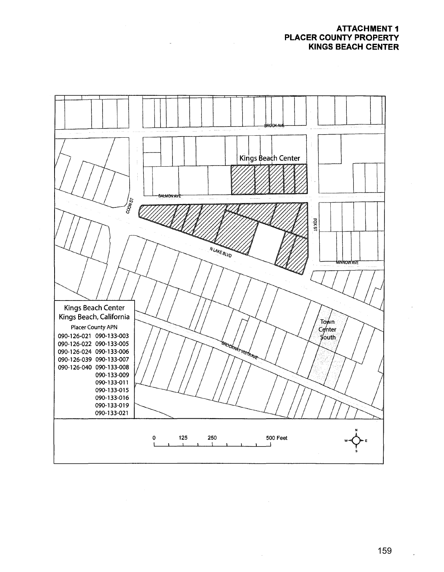## **ATTACHMENT 1 PLACER COUNTY PROPERTY KINGS BEACH CENTER**



 $\sim$ 

 $\ddot{\phantom{0}}$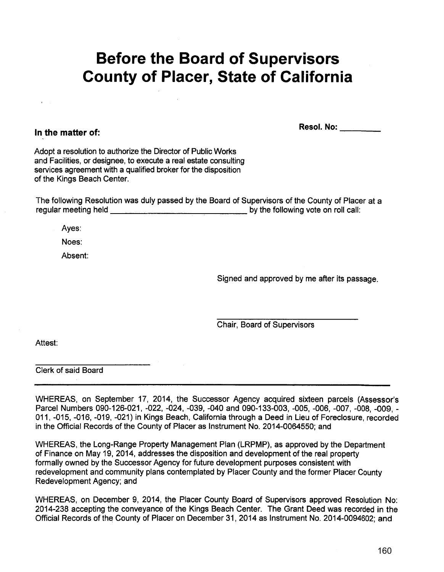# **Before the Board of Supervisors County of Placer, State of California**

**In the matter of:** 

**Resol. No: \_\_\_ \_** 

Adopt a resolution to authorize the Director of Public Works and Facilities, or designee, to execute a real estate consulting services agreement with a qualified broker for the disposition of the Kings Beach Center.

The following Resolution was duly passed by the Board of Supervisors of the County of Placer at a regular meeting held **by the following vote on roll call:** 

Ayes:

Noes:

Absent:

Signed and approved by me after its passage.

Chair, Board of Supervisors

Attest:

Clerk of said Board

WHEREAS, on September 17, 2014, the Successor Agency acquired sixteen parcels (Assessor's Parcel Numbers 090-126-021, -022, -024, -039, -040 and 090-133-003, -005, -006, -007, -008, -009,- 011, -015, -016, -019, -021) in Kings Beach, California through a Deed in Lieu of Foreclosure, recorded in the Official Records of the County of Placer as Instrument No. 2014-0064550; and

WHEREAS, the Long-Range Property Management Plan (LRPMP), as approved by the Department of Finance on May 19, 2014, addresses the disposition and development of the real property formally owned by the Successor Agency for future development purposes consistent with redevelopment and community plans contemplated by Placer County and the former Placer County Redevelopment Agency; and

WHEREAS, on December 9, 2014, the Placer County Board of Supervisors approved Resolution No: 2014-238 accepting the conveyance of the Kings Beach Center. The Grant Deed was recorded in the Official Records of the County of Placer on December 31, 2014 as Instrument No. 2014-0094602; and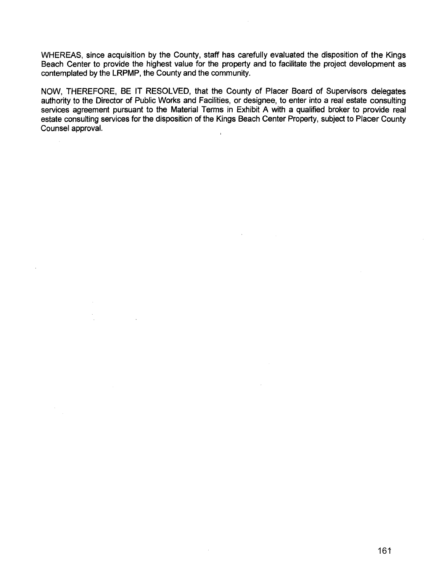WHEREAS, since acquisition by the County, staff has carefully evaluated the disposition of the Kings Beach Center to provide the highest value for the property and to facilitate the project development as contemplated by the LRPMP, the County and the community.

NOW, THEREFORE, BE IT RESOLVED, that the County of Placer Board of Supervisors delegates authority to the Director of Public Works and Facilities, or designee, to enter into a real estate consulting services agreement pursuant to the Material Terms in Exhibit A with a qualified broker to provide real estate consulting services for the disposition of the Kings Beach Center Property, subject to Placer County Counsel approval.  $\mathbf{r}$